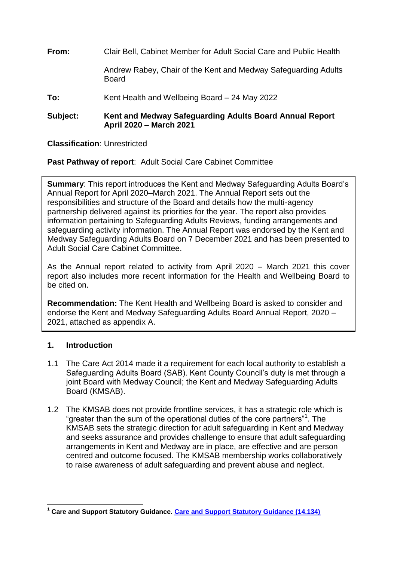**From:** Clair Bell, Cabinet Member for Adult Social Care and Public Health Andrew Rabey, Chair of the Kent and Medway Safeguarding Adults **Board To:** Kent Health and Wellbeing Board – 24 May 2022

**Subject: Kent and Medway Safeguarding Adults Board Annual Report April 2020 – March 2021**

**Classification**: Unrestricted

**Past Pathway of report**: Adult Social Care Cabinet Committee

**Summary**: This report introduces the Kent and Medway Safeguarding Adults Board's Annual Report for April 2020–March 2021. The Annual Report sets out the responsibilities and structure of the Board and details how the multi-agency partnership delivered against its priorities for the year. The report also provides information pertaining to Safeguarding Adults Reviews, funding arrangements and safeguarding activity information. The Annual Report was endorsed by the Kent and Medway Safeguarding Adults Board on 7 December 2021 and has been presented to Adult Social Care Cabinet Committee.

As the Annual report related to activity from April 2020 – March 2021 this cover report also includes more recent information for the Health and Wellbeing Board to be cited on.

**Recommendation:** The Kent Health and Wellbeing Board is asked to consider and endorse the Kent and Medway Safeguarding Adults Board Annual Report, 2020 – 2021, attached as appendix A.

### **1. Introduction**

- 1.1 The Care Act 2014 made it a requirement for each local authority to establish a Safeguarding Adults Board (SAB). Kent County Council's duty is met through a joint Board with Medway Council; the Kent and Medway Safeguarding Adults Board (KMSAB).
- 1.2 The KMSAB does not provide frontline services, it has a strategic role which is "greater than the sum of the operational duties of the core partners"<sup>1</sup> . The KMSAB sets the strategic direction for adult safeguarding in Kent and Medway and seeks assurance and provides challenge to ensure that adult safeguarding arrangements in Kent and Medway are in place, are effective and are person centred and outcome focused. The KMSAB membership works collaboratively to raise awareness of adult safeguarding and prevent abuse and neglect.

 **<sup>1</sup> Care and Support Statutory Guidance. [Care and Support Statutory Guidance \(14.134\)](https://www.gov.uk/government/publications/care-act-statutory-guidance/care-and-support-statutory-guidance#safeguarding-1)**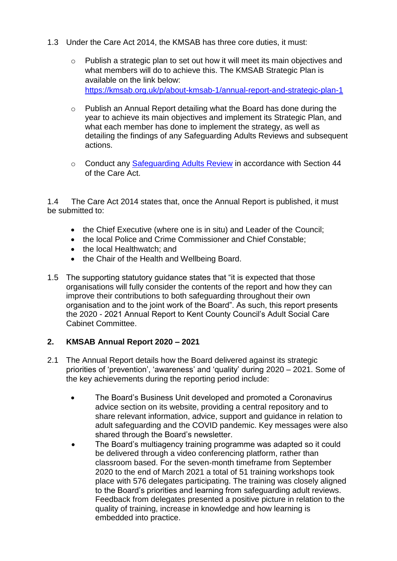- 1.3 Under the Care Act 2014, the KMSAB has three core duties, it must:
	- o Publish a strategic plan to set out how it will meet its main objectives and what members will do to achieve this. The KMSAB Strategic Plan is available on the link below: <https://kmsab.org.uk/p/about-kmsab-1/annual-report-and-strategic-plan-1>
	- o Publish an Annual Report detailing what the Board has done during the year to achieve its main objectives and implement its Strategic Plan, and what each member has done to implement the strategy, as well as detailing the findings of any Safeguarding Adults Reviews and subsequent actions.
	- o Conduct any [Safeguarding Adults Review](https://kmsab.org.uk/p/about-kmsab-1/safeguarding-adult-reviews) in accordance with Section 44 of the Care Act.

1.4 The Care Act 2014 states that, once the Annual Report is published, it must be submitted to:

- the Chief Executive (where one is in situ) and Leader of the Council;
- the local Police and Crime Commissioner and Chief Constable:
- the local Healthwatch; and
- the Chair of the Health and Wellbeing Board.
- 1.5 The supporting statutory guidance states that "it is expected that those organisations will fully consider the contents of the report and how they can improve their contributions to both safeguarding throughout their own organisation and to the joint work of the Board". As such, this report presents the 2020 - 2021 Annual Report to Kent County Council's Adult Social Care Cabinet Committee.

#### **2. KMSAB Annual Report 2020 – 2021**

- 2.1 The Annual Report details how the Board delivered against its strategic priorities of 'prevention', 'awareness' and 'quality' during 2020 – 2021. Some of the key achievements during the reporting period include:
	- The Board's Business Unit developed and promoted a Coronavirus advice section on its website, providing a central repository and to share relevant information, advice, support and guidance in relation to adult safeguarding and the COVID pandemic. Key messages were also shared through the Board's newsletter.
	- The Board's multiagency training programme was adapted so it could be delivered through a video conferencing platform, rather than classroom based. For the seven-month timeframe from September 2020 to the end of March 2021 a total of 51 training workshops took place with 576 delegates participating. The training was closely aligned to the Board's priorities and learning from safeguarding adult reviews. Feedback from delegates presented a positive picture in relation to the quality of training, increase in knowledge and how learning is embedded into practice.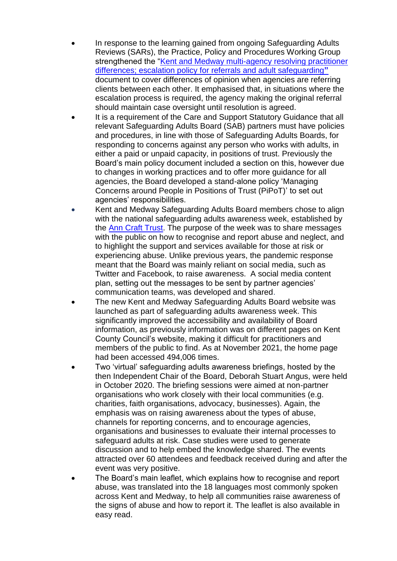- In response to the learning gained from ongoing Safeguarding Adults Reviews (SARs), the Practice, Policy and Procedures Working Group strengthened the ["Kent and Medway multi-agency resolving](https://kmsab.org.uk/assets/1/final_kent_and_medway_escalation_policy_nov_2020_-_accessibility_checked_26.11.2020.pdf) practitioner [differences; escalation policy for referrals and adult safeguarding](https://kmsab.org.uk/assets/1/final_kent_and_medway_escalation_policy_nov_2020_-_accessibility_checked_26.11.2020.pdf)**"** document to cover differences of opinion when agencies are referring clients between each other. It emphasised that, in situations where the escalation process is required, the agency making the original referral should maintain case oversight until resolution is agreed.
- It is a requirement of the [Care and Support Statutory Guidance](https://www.gov.uk/government/publications/care-act-statutory-guidance/care-and-support-statutory-guidance) that all relevant Safeguarding Adults Board (SAB) partners must have policies and procedures, in line with those of Safeguarding Adults Boards, for responding to concerns against any person who works with adults, in either a paid or unpaid capacity, in positions of trust. Previously the Board's main policy document included a section on this, however due to changes in working practices and to offer more guidance for all agencies, the Board developed a stand-alone policy ['Managing](https://kmsab.org.uk/assets/1/final_july_2020_kmsab_pipot_policy_-_accessibility_checked_09.11.2020.pdf)  [Concerns around People in Positions of Trust \(PiPoT\)'](https://kmsab.org.uk/assets/1/final_july_2020_kmsab_pipot_policy_-_accessibility_checked_09.11.2020.pdf) to set out agencies' responsibilities.
- Kent and Medway Safeguarding Adults Board members chose to align with the national safeguarding adults awareness week, established by the [Ann Craft Trust.](https://www.anncrafttrust.org/) The purpose of the week was to share messages with the public on how to recognise and report abuse and neglect, and to highlight the support and services available for those at risk or experiencing abuse. Unlike previous years, the pandemic response meant that the Board was mainly reliant on social media, such as Twitter and Facebook, to raise awareness. A social media content plan, setting out the messages to be sent by partner agencies' communication teams, was developed and shared.
- The new Kent and Medway Safeguarding Adults Board website was launched as part of safeguarding adults awareness week. This significantly improved the accessibility and availability of Board information, as previously information was on different pages on Kent County Council's website, making it difficult for practitioners and members of the public to find. As at November 2021, the home page had been accessed 494,006 times.
- Two 'virtual' safeguarding adults awareness briefings, hosted by the then Independent Chair of the Board, Deborah Stuart Angus, were held in October 2020. The briefing sessions were aimed at non-partner organisations who work closely with their local communities (e.g. charities, faith organisations, advocacy, businesses). Again, the emphasis was on raising awareness about the types of abuse, channels for reporting concerns, and to encourage agencies, organisations and businesses to evaluate their internal processes to safeguard adults at risk. Case studies were used to generate discussion and to help embed the knowledge shared. The events attracted over 60 attendees and feedback received during and after the event was very positive.
- The Board's main leaflet, which explains how to recognise and report abuse, was translated into the 18 languages most commonly spoken across Kent and Medway, to help all communities raise awareness of the signs of abuse and how to report it. The leaflet is also available in easy read.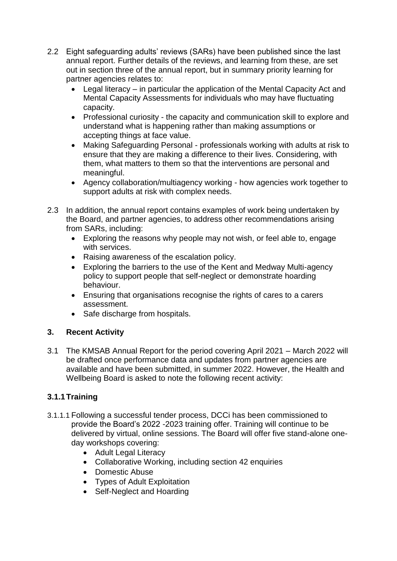- 2.2 Eight safeguarding adults' reviews (SARs) have been published since the last annual report. Further details of the reviews, and learning from these, are set out in section three of the annual report, but in summary priority learning for partner agencies relates to:
	- Legal literacy in particular the application of the Mental Capacity Act and Mental Capacity Assessments for individuals who may have fluctuating capacity.
	- Professional curiosity the capacity and communication skill to explore and understand what is happening rather than making assumptions or accepting things at face value.
	- Making Safeguarding Personal professionals working with adults at risk to ensure that they are making a difference to their lives. Considering, with them, what matters to them so that the interventions are personal and meaningful.
	- Agency collaboration/multiagency working how agencies work together to support adults at risk with complex needs.
- 2.3 In addition, the annual report contains examples of work being undertaken by the Board, and partner agencies, to address other recommendations arising from SARs, including:
	- Exploring the reasons why people may not wish, or feel able to, engage with services.
	- Raising awareness of the escalation policy.
	- Exploring the barriers to the use of the Kent and Medway Multi-agency policy to support people that self-neglect or demonstrate hoarding behaviour.
	- Ensuring that organisations recognise the rights of cares to a carers assessment.
	- Safe discharge from hospitals.

# **3. Recent Activity**

3.1 The KMSAB Annual Report for the period covering April 2021 – March 2022 will be drafted once performance data and updates from partner agencies are available and have been submitted, in summer 2022. However, the Health and Wellbeing Board is asked to note the following recent activity:

# **3.1.1Training**

- 3.1.1.1 Following a successful tender process, DCCi has been commissioned to provide the Board's 2022 -2023 training offer. Training will continue to be delivered by virtual, online sessions. The Board will offer five stand-alone oneday workshops covering:
	- Adult Legal Literacy
	- Collaborative Working, including section 42 enquiries
	- Domestic Abuse
	- Types of Adult Exploitation
	- Self-Neglect and Hoarding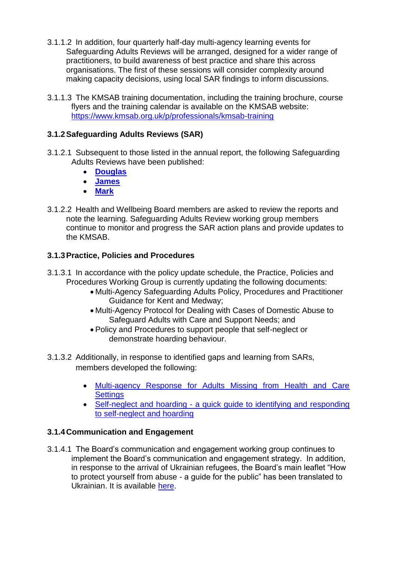- 3.1.1.2 In addition, four quarterly half-day multi-agency learning events for Safeguarding Adults Reviews will be arranged, designed for a wider range of practitioners, to build awareness of best practice and share this across organisations. The first of these sessions will consider complexity around making capacity decisions, using local SAR findings to inform discussions.
- 3.1.1.3 The KMSAB training documentation, including the training brochure, course flyers and the training calendar is available on the KMSAB website: <https://www.kmsab.org.uk/p/professionals/kmsab-training>

## **3.1.2Safeguarding Adults Reviews (SAR)**

- 3.1.2.1 Subsequent to those listed in the annual report, the following Safeguarding Adults Reviews have been published:
	- **[Douglas](https://www.kmsab.org.uk/assets/1/douglas_sar_overview_report_final_for_publication.pdf)**
	- **[James](https://www.kmsab.org.uk/assets/1/sar_overview_report_in_respect_of_james_final_for_publication.pdf)**
	- **[Mark](https://www.kmsab.org.uk/assets/1/sar_overview_report_in_respect_of_mark_final_for_publication.pdf)**
- 3.1.2.2 Health and Wellbeing Board members are asked to review the reports and note the learning. Safeguarding Adults Review working group members continue to monitor and progress the SAR action plans and provide updates to the KMSAB.

### **3.1.3Practice, Policies and Procedures**

- 3.1.3.1 In accordance with the policy update schedule, the Practice, Policies and Procedures Working Group is currently updating the following documents:
	- Multi-Agency Safeguarding Adults Policy, Procedures and Practitioner Guidance for Kent and Medway;
	- Multi-Agency Protocol for Dealing with Cases of Domestic Abuse to Safeguard Adults with Care and Support Needs; and
	- Policy and Procedures to support people that self-neglect or demonstrate hoarding behaviour.
- 3.1.3.2 Additionally, in response to identified gaps and learning from SARs, members developed the following:
	- [Multi-agency Response for Adults Missing from Health and Care](file:///C:/Users/Widdev01/AppData/Local/Microsoft/Windows/INetCache/Content.Outlook/Y8YU1Z0E/•%09Multi-agency%20Response%20for%20Adults%20Missing%20from%20Health%20and%20Care%20Settings)  **[Settings](file:///C:/Users/Widdev01/AppData/Local/Microsoft/Windows/INetCache/Content.Outlook/Y8YU1Z0E/•%09Multi-agency%20Response%20for%20Adults%20Missing%20from%20Health%20and%20Care%20Settings)**
	- Self-neglect and hoarding [a quick guide to identifying and responding](https://kmsab.org.uk/assets/1/kmsab_snh_practitioner_document_-_following_kfrs_query_oct_21.pdf)  [to self-neglect and hoarding](https://kmsab.org.uk/assets/1/kmsab_snh_practitioner_document_-_following_kfrs_query_oct_21.pdf)

### **3.1.4Communication and Engagement**

3.1.4.1 The Board's communication and engagement working group continues to implement the Board's communication and engagement strategy. In addition, in response to the arrival of Ukrainian refugees, the Board's main leaflet "How to protect yourself from abuse - a guide for the public" has been translated to Ukrainian. It is available [here.](https://kmsab.org.uk/assets/1/160.26_print_stop_adult_abuse_leaflet_ukrainian_web.pdf)